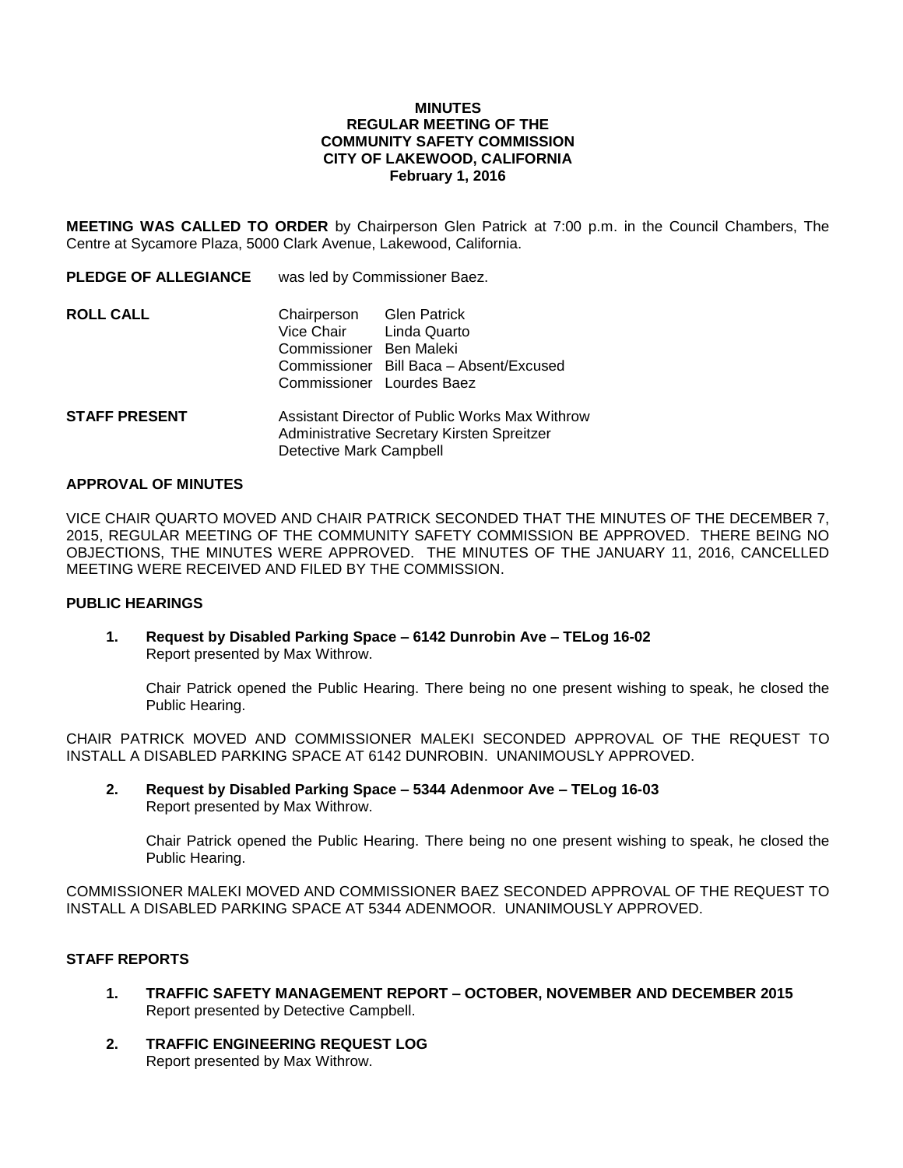#### **MINUTES REGULAR MEETING OF THE COMMUNITY SAFETY COMMISSION CITY OF LAKEWOOD, CALIFORNIA February 1, 2016**

**MEETING WAS CALLED TO ORDER** by Chairperson Glen Patrick at 7:00 p.m. in the Council Chambers, The Centre at Sycamore Plaza, 5000 Clark Avenue, Lakewood, California.

| <b>PLEDGE OF ALLEGIANCE</b> | was led by Commissioner Baez.                                                                               |                                         |
|-----------------------------|-------------------------------------------------------------------------------------------------------------|-----------------------------------------|
| ROLL CALL                   | Chairperson Glen Patrick<br>Vice Chair Linda Quarto<br>Commissioner Ben Maleki<br>Commissioner Lourdes Baez | Commissioner Bill Baca - Absent/Excused |
| <b>STAFF PRESENT</b>        | Assistant Director of Public Works Max Withro                                                               |                                         |

**STAFF PRESENT** Assistant Director of Public Works Max Withrow Administrative Secretary Kirsten Spreitzer Detective Mark Campbell

#### **APPROVAL OF MINUTES**

VICE CHAIR QUARTO MOVED AND CHAIR PATRICK SECONDED THAT THE MINUTES OF THE DECEMBER 7, 2015, REGULAR MEETING OF THE COMMUNITY SAFETY COMMISSION BE APPROVED. THERE BEING NO OBJECTIONS, THE MINUTES WERE APPROVED. THE MINUTES OF THE JANUARY 11, 2016, CANCELLED MEETING WERE RECEIVED AND FILED BY THE COMMISSION.

## **PUBLIC HEARINGS**

**1. Request by Disabled Parking Space – 6142 Dunrobin Ave – TELog 16-02**  Report presented by Max Withrow.

Chair Patrick opened the Public Hearing. There being no one present wishing to speak, he closed the Public Hearing.

CHAIR PATRICK MOVED AND COMMISSIONER MALEKI SECONDED APPROVAL OF THE REQUEST TO INSTALL A DISABLED PARKING SPACE AT 6142 DUNROBIN. UNANIMOUSLY APPROVED.

**2. Request by Disabled Parking Space – 5344 Adenmoor Ave – TELog 16-03** Report presented by Max Withrow.

Chair Patrick opened the Public Hearing. There being no one present wishing to speak, he closed the Public Hearing.

COMMISSIONER MALEKI MOVED AND COMMISSIONER BAEZ SECONDED APPROVAL OF THE REQUEST TO INSTALL A DISABLED PARKING SPACE AT 5344 ADENMOOR. UNANIMOUSLY APPROVED.

#### **STAFF REPORTS**

- **1. TRAFFIC SAFETY MANAGEMENT REPORT – OCTOBER, NOVEMBER AND DECEMBER 2015** Report presented by Detective Campbell.
- **2. TRAFFIC ENGINEERING REQUEST LOG** Report presented by Max Withrow.